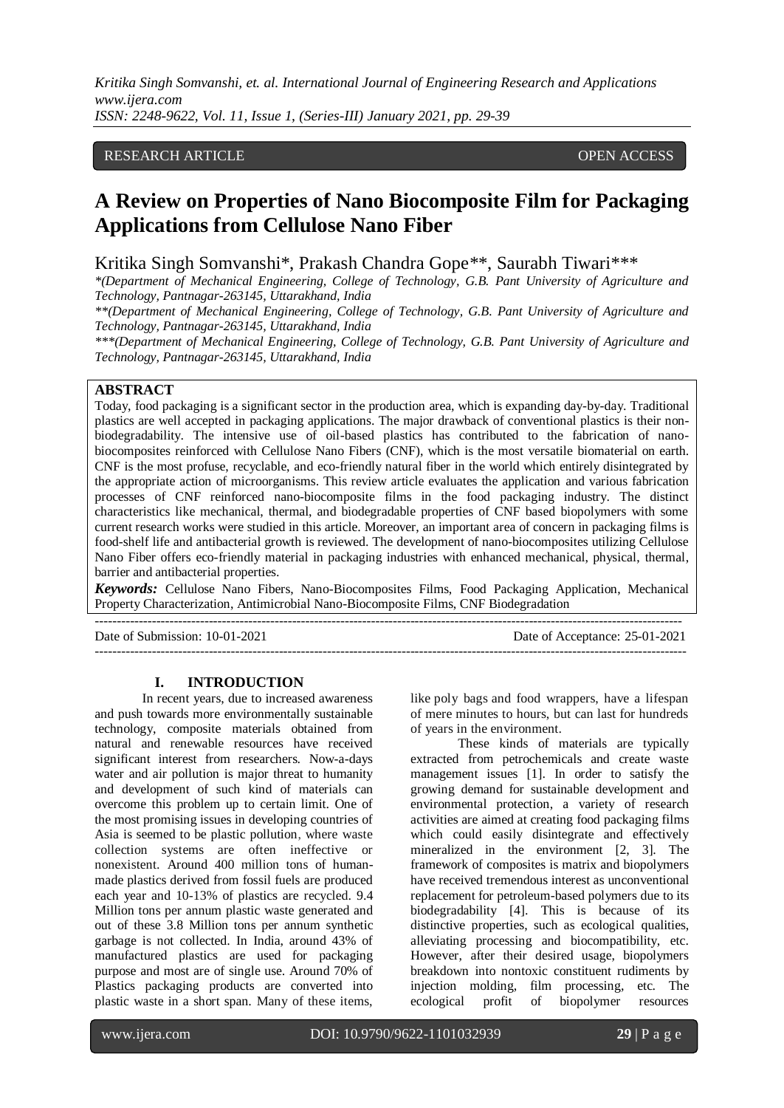## RESEARCH ARTICLE **OPEN ACCESS**

# **A Review on Properties of Nano Biocomposite Film for Packaging Applications from Cellulose Nano Fiber**

Kritika Singh Somvanshi\*, Prakash Chandra Gope\*\*, Saurabh Tiwari\*\*\*

*\*(Department of Mechanical Engineering, College of Technology, G.B. Pant University of Agriculture and Technology, Pantnagar-263145, Uttarakhand, India*

*\*\*(Department of Mechanical Engineering, College of Technology, G.B. Pant University of Agriculture and Technology, Pantnagar-263145, Uttarakhand, India*

*\*\*\*(Department of Mechanical Engineering, College of Technology, G.B. Pant University of Agriculture and Technology, Pantnagar-263145, Uttarakhand, India*

# **ABSTRACT**

Today, food packaging is a significant sector in the production area, which is expanding day-by-day. Traditional plastics are well accepted in packaging applications. The major drawback of conventional plastics is their nonbiodegradability. The intensive use of oil-based plastics has contributed to the fabrication of nanobiocomposites reinforced with Cellulose Nano Fibers (CNF), which is the most versatile biomaterial on earth. CNF is the most profuse, recyclable, and eco-friendly natural fiber in the world which entirely disintegrated by the appropriate action of microorganisms. This review article evaluates the application and various fabrication processes of CNF reinforced nano-biocomposite films in the food packaging industry. The distinct characteristics like mechanical, thermal, and biodegradable properties of CNF based biopolymers with some current research works were studied in this article. Moreover, an important area of concern in packaging films is food-shelf life and antibacterial growth is reviewed. The development of nano-biocomposites utilizing Cellulose Nano Fiber offers eco-friendly material in packaging industries with enhanced mechanical, physical, thermal, barrier and antibacterial properties.

*Keywords:* Cellulose Nano Fibers, Nano-Biocomposites Films, Food Packaging Application, Mechanical Property Characterization, Antimicrobial Nano-Biocomposite Films, CNF Biodegradation

---------------------------------------------------------------------------------------------------------------------------------------

--------------------------------------------------------------------------------------------------------------------------------------

Date of Submission: 10-01-2021 Date of Acceptance: 25-01-2021

#### **I. INTRODUCTION**

In recent years, due to increased awareness and push towards more environmentally sustainable technology, composite materials obtained from natural and renewable resources have received significant interest from researchers. Now-a-days water and air pollution is major threat to humanity and development of such kind of materials can overcome this problem up to certain limit. One of the most promising issues in developing countries of Asia is seemed to be plastic pollution, where waste collection systems are often ineffective or nonexistent. Around 400 million tons of humanmade plastics derived from fossil fuels are produced each year and 10-13% of plastics are recycled. 9.4 Million tons per annum plastic waste generated and out of these 3.8 Million tons per annum synthetic garbage is not collected. In India, around 43% of manufactured plastics are used for packaging purpose and most are of single use. Around 70% of Plastics packaging products are converted into plastic waste in a short span. Many of these items,

like [poly bags](https://www.nationalgeographic.com/environment/2019/04/plastic-bag-bans-kenya-to-us-reduce-pollution/) and food wrappers, have a lifespan of mere minutes to hours, but can last for hundreds of years in the environment.

These kinds of materials are typically extracted from petrochemicals and create waste management issues [1]. In order to satisfy the growing demand for sustainable development and environmental protection, a variety of research activities are aimed at creating food packaging films which could easily disintegrate and effectively mineralized in the environment [2, 3]. The framework of composites is matrix and biopolymers have received tremendous interest as unconventional replacement for petroleum-based polymers due to its biodegradability [4]. This is because of its distinctive properties, such as ecological qualities, alleviating processing and biocompatibility, etc. However, after their desired usage, biopolymers breakdown into nontoxic constituent rudiments by injection molding, film processing, etc. The ecological profit of biopolymer resources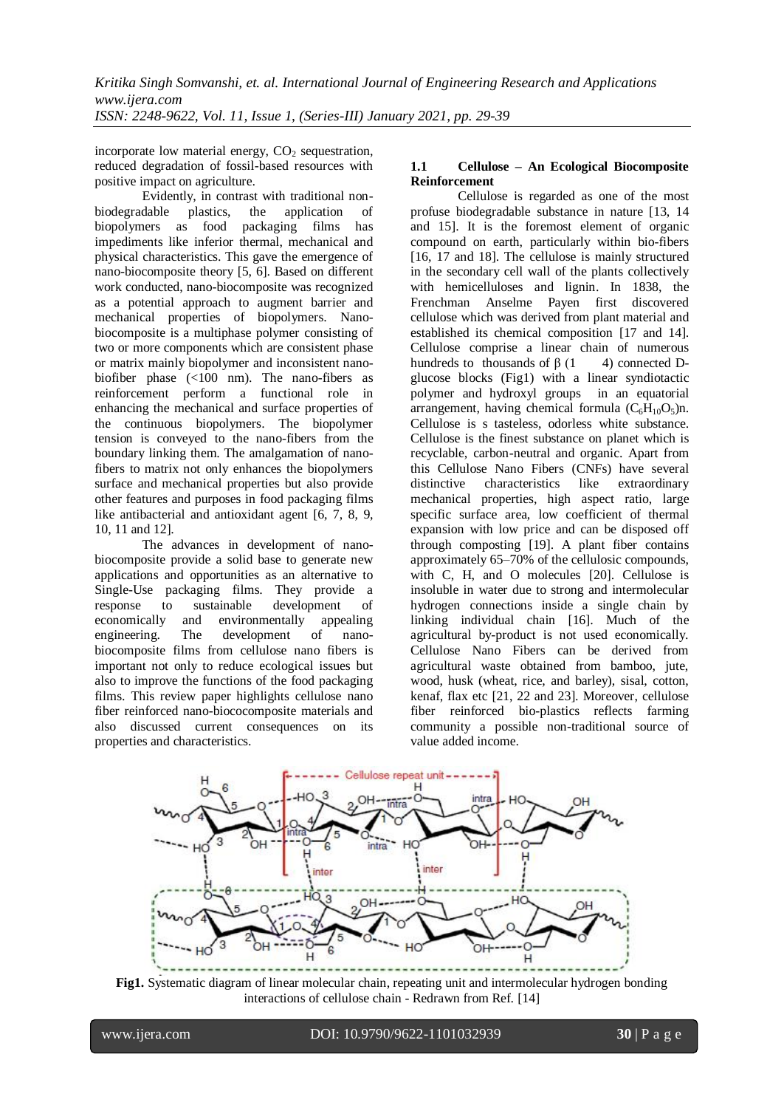incorporate low material energy,  $CO<sub>2</sub>$  sequestration, reduced degradation of fossil-based resources with positive impact on agriculture.

Evidently, in contrast with traditional nonbiodegradable plastics, the application of biopolymers as food packaging films has impediments like inferior thermal, mechanical and physical characteristics. This gave the emergence of nano-biocomposite theory [5, 6]. Based on different work conducted, nano-biocomposite was recognized as a potential approach to augment barrier and mechanical properties of biopolymers. Nanobiocomposite is a multiphase polymer consisting of two or more components which are consistent phase or matrix mainly biopolymer and inconsistent nanobiofiber phase (<100 nm). The nano-fibers as reinforcement perform a functional role in enhancing the mechanical and surface properties of the continuous biopolymers. The biopolymer tension is conveyed to the nano-fibers from the boundary linking them. The amalgamation of nanofibers to matrix not only enhances the biopolymers surface and mechanical properties but also provide other features and purposes in food packaging films like antibacterial and antioxidant agent [6, 7, 8, 9, 10, 11 and 12].

The advances in development of nanobiocomposite provide a solid base to generate new applications and opportunities as an alternative to Single-Use packaging films. They provide a response to sustainable development of economically and environmentally appealing engineering. The development of nanobiocomposite films from cellulose nano fibers is important not only to reduce ecological issues but also to improve the functions of the food packaging films. This review paper highlights cellulose nano fiber reinforced nano-biococomposite materials and also discussed current consequences on its properties and characteristics.

# **1.1 Cellulose – An Ecological Biocomposite Reinforcement**

Cellulose is regarded as one of the most profuse biodegradable substance in nature [13, 14 and 15]. It is the foremost element of organic compound on earth, particularly within bio-fibers [16, 17 and 18]. The cellulose is mainly structured in the secondary cell wall of the plants collectively with hemicelluloses and lignin. In 1838, the Frenchman Anselme Payen first discovered cellulose which was derived from plant material and established its chemical composition [17 and 14]. Cellulose comprise a linear chain of numerous hundreds to thousands of  $\beta$  (1 4) connected Dglucose blocks (Fig1) with a linear syndiotactic polymer and hydroxyl groups in an equatorial arrangement, having chemical formula  $(C_6H_{10}O_5)n$ . Cellulose is s tasteless, odorless white substance. Cellulose is the finest substance on planet which is recyclable, carbon-neutral and organic. Apart from this Cellulose Nano Fibers (CNFs) have several distinctive characteristics like extraordinary mechanical properties, high aspect ratio, large specific surface area, low coefficient of thermal expansion with low price and can be disposed off through composting [19]. A plant fiber contains approximately 65–70% of the cellulosic compounds, with C, H, and O molecules [20]. Cellulose is insoluble in water due to strong and intermolecular hydrogen connections inside a single chain by linking individual chain [16]. Much of the agricultural by-product is not used economically. Cellulose Nano Fibers can be derived from agricultural waste obtained from bamboo, jute, wood, husk (wheat, rice, and barley), sisal, cotton, kenaf, flax etc [21, 22 and 23]. Moreover, cellulose fiber reinforced bio-plastics reflects farming community a possible non-traditional source of value added income.



**Fig1.** Systematic diagram of linear molecular chain, repeating unit and intermolecular hydrogen bonding interactions of cellulose chain - Redrawn from Ref. [14]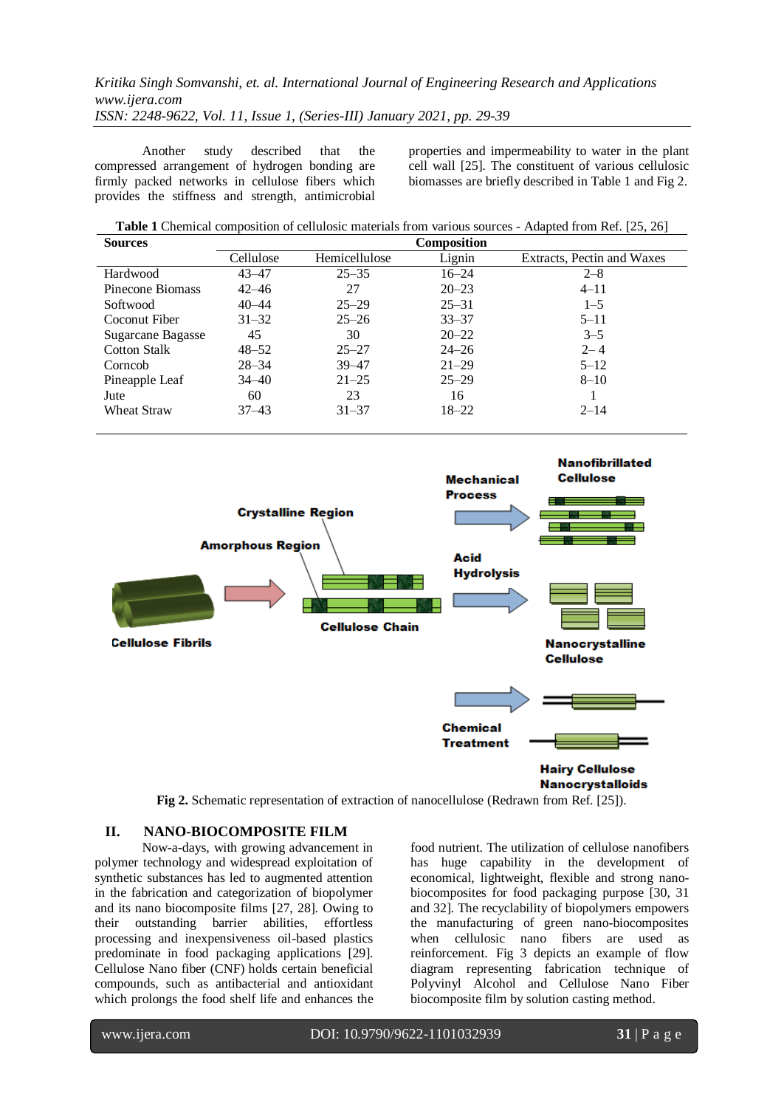Another study described that the compressed arrangement of hydrogen bonding are firmly packed networks in cellulose fibers which provides the stiffness and strength, antimicrobial

properties and impermeability to water in the plant cell wall [25]. The constituent of various cellulosic biomasses are briefly described in Table 1 and Fig 2.

| <b>Sources</b>           | Composition |               |           |                            |
|--------------------------|-------------|---------------|-----------|----------------------------|
|                          | Cellulose   | Hemicellulose | Lignin    | Extracts, Pectin and Waxes |
| Hardwood                 | $43 - 47$   | $25 - 35$     | $16 - 24$ | $2 - 8$                    |
| Pinecone Biomass         | $42 - 46$   | 27            | $20 - 23$ | $4 - 11$                   |
| Softwood                 | $40 - 44$   | $25 - 29$     | $25 - 31$ | $1 - 5$                    |
| Coconut Fiber            | $31 - 32$   | $25 - 26$     | $33 - 37$ | $5 - 11$                   |
| <b>Sugarcane Bagasse</b> | 45          | 30            | $20 - 22$ | $3 - 5$                    |
| <b>Cotton Stalk</b>      | $48 - 52$   | $25 - 27$     | $24 - 26$ | $2 - 4$                    |
| Corncob                  | $28 - 34$   | 39–47         | $21 - 29$ | $5 - 12$                   |
| Pineapple Leaf           | $34 - 40$   | $21 - 25$     | $25 - 29$ | $8 - 10$                   |
| Jute                     | 60          | 23            | 16        |                            |
| <b>Wheat Straw</b>       | 37–43       | $31 - 37$     | $18 - 22$ | $2 - 14$                   |



**Fig 2.** Schematic representation of extraction of nanocellulose (Redrawn from Ref. [25]).

# **II. NANO-BIOCOMPOSITE FILM**

Now-a-days, with growing advancement in polymer technology and widespread exploitation of synthetic substances has led to augmented attention in the fabrication and categorization of biopolymer and its nano biocomposite films [27, 28]. Owing to their outstanding barrier abilities, effortless processing and inexpensiveness oil-based plastics predominate in food packaging applications [29]. Cellulose Nano fiber (CNF) holds certain beneficial compounds, such as antibacterial and antioxidant which prolongs the food shelf life and enhances the food nutrient. The utilization of cellulose nanofibers has huge capability in the development of economical, lightweight, flexible and strong nanobiocomposites for food packaging purpose [30, 31 and 32]. The recyclability of biopolymers empowers the manufacturing of green nano-biocomposites when cellulosic nano fibers are used as reinforcement. Fig 3 depicts an example of flow diagram representing fabrication technique of Polyvinyl Alcohol and Cellulose Nano Fiber biocomposite film by solution casting method.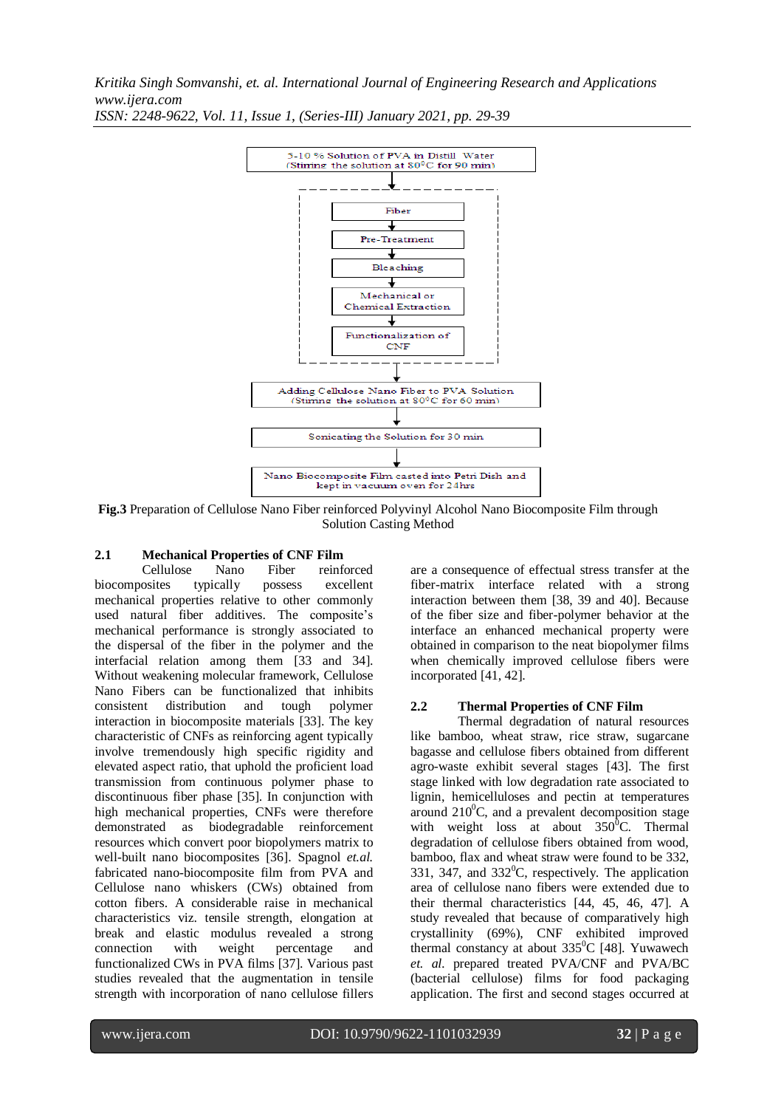

*ISSN: 2248-9622, Vol. 11, Issue 1, (Series-III) January 2021, pp. 29-39*

**Fig.3** Preparation of Cellulose Nano Fiber reinforced Polyvinyl Alcohol Nano Biocomposite Film through Solution Casting Method

# **2.1 Mechanical Properties of CNF Film**

Cellulose Nano Fiber reinforced biocomposites typically possess excellent mechanical properties relative to other commonly used natural fiber additives. The composite's mechanical performance is strongly associated to the dispersal of the fiber in the polymer and the interfacial relation among them [33 and 34]. Without weakening molecular framework, Cellulose Nano Fibers can be functionalized that inhibits consistent distribution and tough polymer interaction in biocomposite materials [33]. The key characteristic of CNFs as reinforcing agent typically involve tremendously high specific rigidity and elevated aspect ratio, that uphold the proficient load transmission from continuous polymer phase to discontinuous fiber phase [35]. In conjunction with high mechanical properties, CNFs were therefore demonstrated as biodegradable reinforcement resources which convert poor biopolymers matrix to well-built nano biocomposites [36]. Spagnol *et.al.* fabricated nano-biocomposite film from PVA and Cellulose nano whiskers (CWs) obtained from cotton fibers. A considerable raise in mechanical characteristics viz. tensile strength, elongation at break and elastic modulus revealed a strong connection with weight percentage and functionalized CWs in PVA films [37]. Various past studies revealed that the augmentation in tensile strength with incorporation of nano cellulose fillers are a consequence of effectual stress transfer at the fiber-matrix interface related with a strong interaction between them [38, 39 and 40]. Because of the fiber size and fiber-polymer behavior at the interface an enhanced mechanical property were obtained in comparison to the neat biopolymer films when chemically improved cellulose fibers were incorporated [41, 42].

## **2.2 Thermal Properties of CNF Film**

Thermal degradation of natural resources like bamboo, wheat straw, rice straw, sugarcane bagasse and cellulose fibers obtained from different agro-waste exhibit several stages [43]. The first stage linked with low degradation rate associated to lignin, hemicelluloses and pectin at temperatures around  $210^0$ C, and a prevalent decomposition stage with weight loss at about  $350^{\circ}$ C. Thermal degradation of cellulose fibers obtained from wood, bamboo, flax and wheat straw were found to be 332, 331, 347, and  $332^{\circ}$ C, respectively. The application area of cellulose nano fibers were extended due to their thermal characteristics [44, 45, 46, 47]. A study revealed that because of comparatively high crystallinity (69%), CNF exhibited improved thermal constancy at about 335<sup>0</sup>C [48]. Yuwawech *et. al.* prepared treated PVA/CNF and PVA/BC (bacterial cellulose) films for food packaging application. The first and second stages occurred at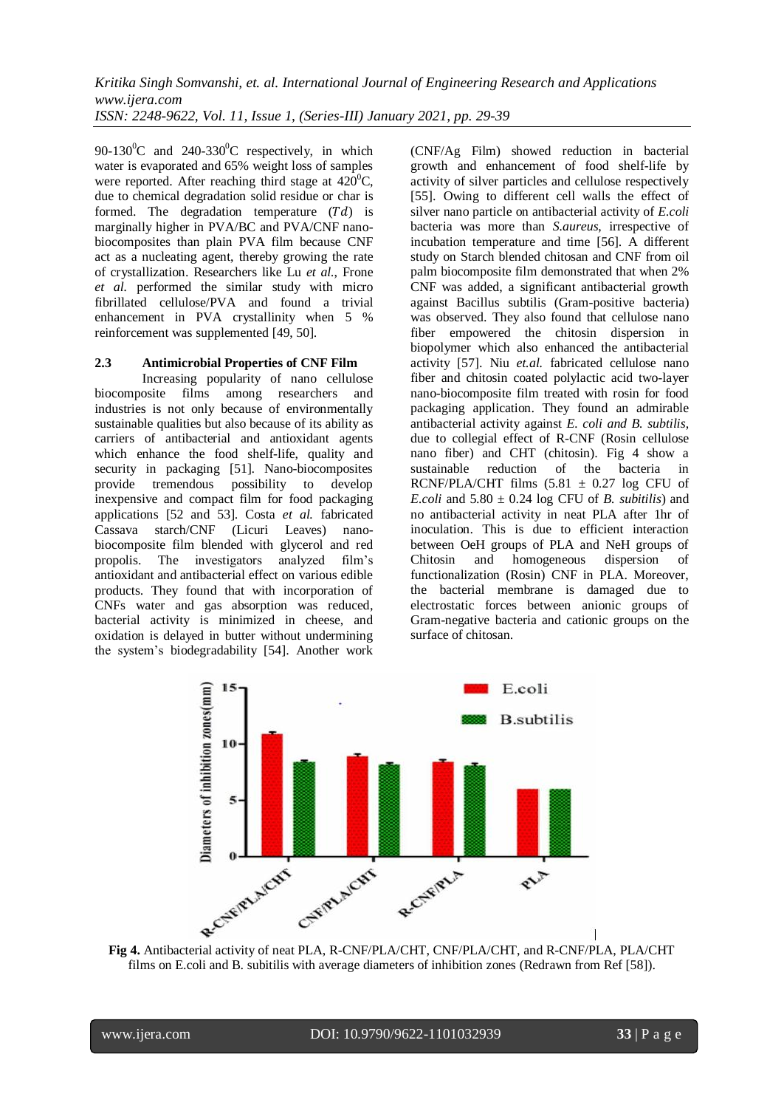90-130 $^{\circ}$ C and 240-330 $^{\circ}$ C respectively, in which water is evaporated and 65% weight loss of samples were reported. After reaching third stage at  $420^{\circ}$ C, due to chemical degradation solid residue or char is formed. The degradation temperature  $(Td)$  is marginally higher in PVA/BC and PVA/CNF nanobiocomposites than plain PVA film because CNF act as a nucleating agent, thereby growing the rate of crystallization. Researchers like Lu *et al.*, Frone *et al.* performed the similar study with micro fibrillated cellulose/PVA and found a trivial enhancement in PVA crystallinity when 5 % reinforcement was supplemented [49, 50].

## **2.3 Antimicrobial Properties of CNF Film**

Increasing popularity of nano cellulose biocomposite films among researchers and industries is not only because of environmentally sustainable qualities but also because of its ability as carriers of antibacterial and antioxidant agents which enhance the food shelf-life, quality and security in packaging [51]. Nano-biocomposites provide tremendous possibility to develop inexpensive and compact film for food packaging applications [52 and 53]. Costa *et al.* fabricated Cassava starch/CNF (Licuri Leaves) nanobiocomposite film blended with glycerol and red propolis. The investigators analyzed film's antioxidant and antibacterial effect on various edible products. They found that with incorporation of CNFs water and gas absorption was reduced, bacterial activity is minimized in cheese, and oxidation is delayed in butter without undermining the system's biodegradability [54]. Another work

(CNF/Ag Film) showed reduction in bacterial growth and enhancement of food shelf-life by activity of silver particles and cellulose respectively [55]. Owing to different cell walls the effect of silver nano particle on antibacterial activity of *E.coli* bacteria was more than *S.aureus*, irrespective of incubation temperature and time [56]. A different study on Starch blended chitosan and CNF from oil palm biocomposite film demonstrated that when 2% CNF was added, a significant antibacterial growth against Bacillus subtilis (Gram-positive bacteria) was observed. They also found that cellulose nano fiber empowered the chitosin dispersion in biopolymer which also enhanced the antibacterial activity [57]. Niu *et.al.* fabricated cellulose nano fiber and chitosin coated polylactic acid two-layer nano-biocomposite film treated with rosin for food packaging application. They found an admirable antibacterial activity against *E. coli and B. subtilis*, due to collegial effect of R-CNF (Rosin cellulose nano fiber) and CHT (chitosin). Fig 4 show a sustainable reduction of the bacteria in RCNF/PLA/CHT films  $(5.81 \pm 0.27)$  log CFU of *E.coli* and  $5.80 \pm 0.24$  log CFU of *B. subitilis*) and no antibacterial activity in neat PLA after 1hr of inoculation. This is due to efficient interaction between OeH groups of PLA and NeH groups of Chitosin and homogeneous dispersion of functionalization (Rosin) CNF in PLA. Moreover, the bacterial membrane is damaged due to electrostatic forces between anionic groups of Gram-negative bacteria and cationic groups on the surface of chitosan.



films on E.coli and B. subitilis with average diameters of inhibition zones (Redrawn from Ref [58]).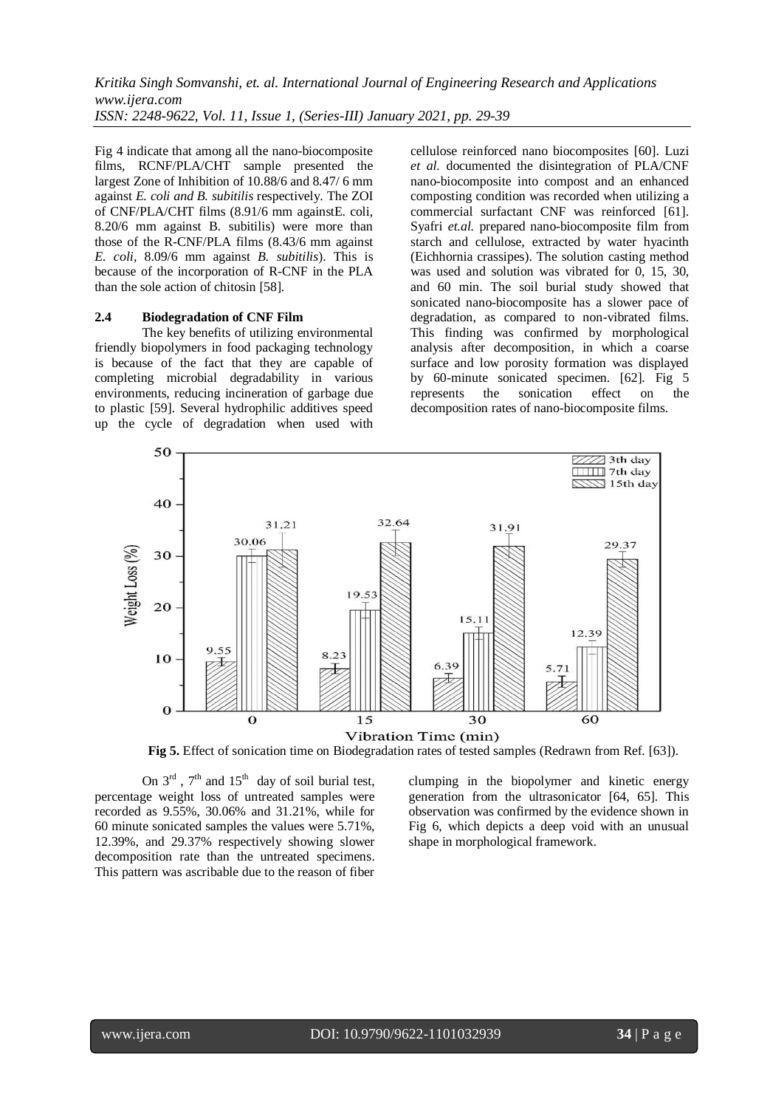Fig 4 indicate that among all the nano-biocomposite films, RCNF/PLA/CHT sample presented the largest Zone of Inhibition of 10.88/6 and 8.47/ 6 mm against *E. coli and B. subitilis* respectively. The ZOI of CNF/PLA/CHT films (8.91/6 mm againstE. coli, 8.20/6 mm against B. subitilis) were more than those of the R-CNF/PLA films (8.43/6 mm against *E. coli*, 8.09/6 mm against *B. subitilis*). This is because of the incorporation of R-CNF in the PLA than the sole action of chitosin [58].

#### **2.4 Biodegradation of CNF Film**

The key benefits of utilizing environmental friendly biopolymers in food packaging technology is because of the fact that they are capable of completing microbial degradability in various environments, reducing incineration of garbage due to plastic [59]. Several hydrophilic additives speed up the cycle of degradation when used with cellulose reinforced nano biocomposites [60]. Luzi *et al.* documented the disintegration of PLA/CNF nano-biocomposite into compost and an enhanced composting condition was recorded when utilizing a commercial surfactant CNF was reinforced [61]. Syafri *et.al.* prepared nano-biocomposite film from starch and cellulose, extracted by water hyacinth (Eichhornia crassipes). The solution casting method was used and solution was vibrated for 0, 15, 30, and 60 min. The soil burial study showed that sonicated nano-biocomposite has a slower pace of degradation, as compared to non-vibrated films. This finding was confirmed by morphological analysis after decomposition, in which a coarse surface and low porosity formation was displayed by 60-minute sonicated specimen. [62]. Fig 5 represents the sonication effect on the decomposition rates of nano-biocomposite films.



 **Fig 5.** Effect of sonication time on Biodegradation rates of tested samples (Redrawn from Ref. [63]).

On  $3<sup>rd</sup>$ ,  $7<sup>th</sup>$  and  $15<sup>th</sup>$  day of soil burial test, percentage weight loss of untreated samples were recorded as 9.55%, 30.06% and 31.21%, while for 60 minute sonicated samples the values were 5.71%, 12.39%, and 29.37% respectively showing slower decomposition rate than the untreated specimens. This pattern was ascribable due to the reason of fiber

clumping in the biopolymer and kinetic energy generation from the ultrasonicator [64, 65]. This observation was confirmed by the evidence shown in Fig 6, which depicts a deep void with an unusual shape in morphological framework.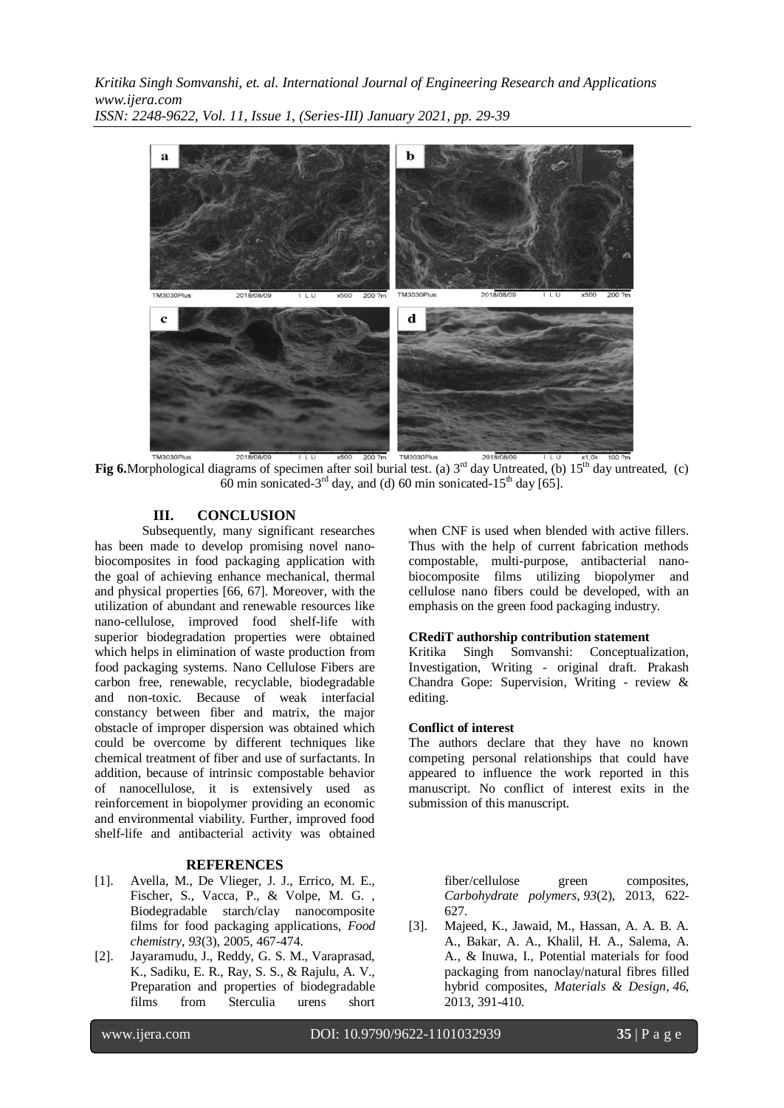

**Fig 6.**Morphological diagrams of specimen after soil burial test. (a)  $3<sup>rd</sup>$  day Untreated, (b)  $15<sup>th</sup>$  day untreated, (c) 60 min sonicated-3<sup>rd</sup> day, and (d) 60 min sonicated-15<sup>th</sup> day [65].

## **III. CONCLUSION**

Subsequently, many significant researches has been made to develop promising novel nanobiocomposites in food packaging application with the goal of achieving enhance mechanical, thermal and physical properties [66, 67]. Moreover, with the utilization of abundant and renewable resources like nano-cellulose, improved food shelf-life with superior biodegradation properties were obtained which helps in elimination of waste production from food packaging systems. Nano Cellulose Fibers are carbon free, renewable, recyclable, biodegradable and non-toxic. Because of weak interfacial constancy between fiber and matrix, the major obstacle of improper dispersion was obtained which could be overcome by different techniques like chemical treatment of fiber and use of surfactants. In addition, because of intrinsic compostable behavior of nanocellulose, it is extensively used as reinforcement in biopolymer providing an economic and environmental viability. Further, improved food shelf-life and antibacterial activity was obtained

#### **REFERENCES**

- [1]. Avella, M., De Vlieger, J. J., Errico, M. E., Fischer, S., Vacca, P., & Volpe, M. G. , Biodegradable starch/clay nanocomposite films for food packaging applications, *Food chemistry*, *93*(3), 2005, 467-474.
- [2]. Jayaramudu, J., Reddy, G. S. M., Varaprasad, K., Sadiku, E. R., Ray, S. S., & Rajulu, A. V., Preparation and properties of biodegradable films from Sterculia urens short

when CNF is used when blended with active fillers. Thus with the help of current fabrication methods compostable, multi-purpose, antibacterial nanobiocomposite films utilizing biopolymer and cellulose nano fibers could be developed, with an emphasis on the green food packaging industry.

#### **CRediT authorship contribution statement**

Kritika Singh Somvanshi: Conceptualization, Investigation, Writing - original draft. Prakash Chandra Gope: Supervision, Writing - review & editing.

#### **Conflict of interest**

The authors declare that they have no known competing personal relationships that could have appeared to influence the work reported in this manuscript. No conflict of interest exits in the submission of this manuscript.

> fiber/cellulose green composites, *Carbohydrate polymers*, *93*(2), 2013, 622- 627.

[3]. Majeed, K., Jawaid, M., Hassan, A. A. B. A. A., Bakar, A. A., Khalil, H. A., Salema, A. A., & Inuwa, I., Potential materials for food packaging from nanoclay/natural fibres filled hybrid composites, *Materials & Design*, *46*, 2013, 391-410.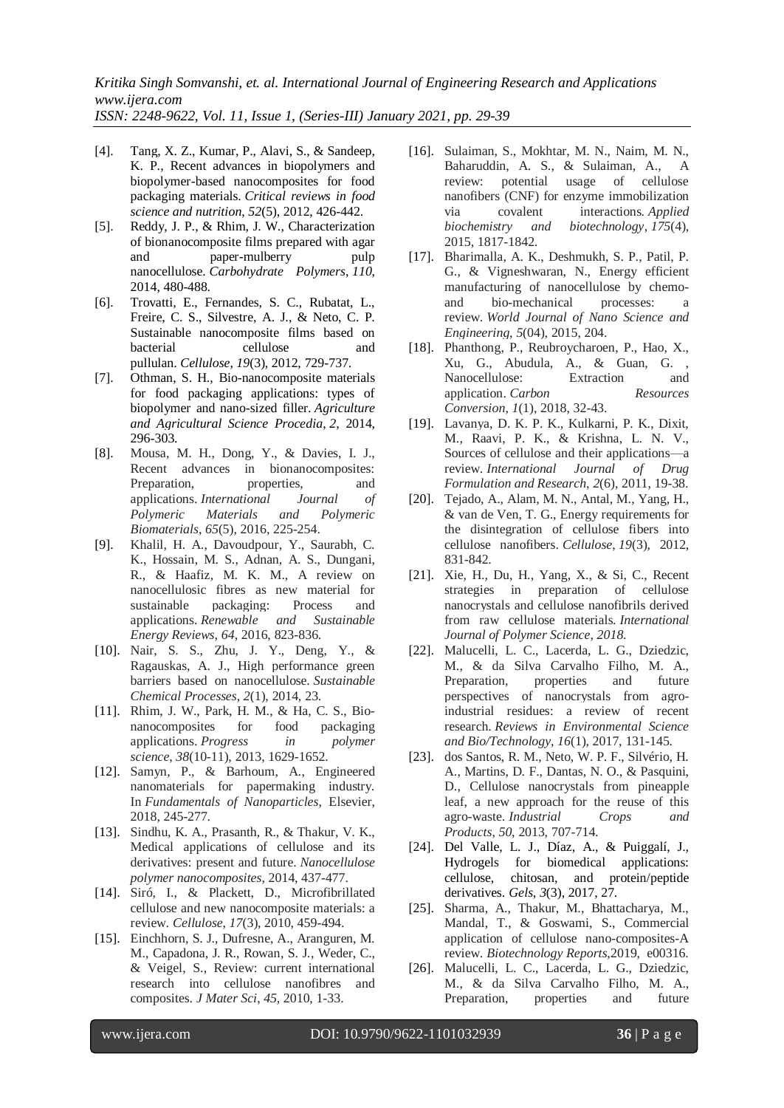*ISSN: 2248-9622, Vol. 11, Issue 1, (Series-III) January 2021, pp. 29-39*

- [4]. Tang, X. Z., Kumar, P., Alavi, S., & Sandeep, K. P., Recent advances in biopolymers and biopolymer-based nanocomposites for food packaging materials. *Critical reviews in food science and nutrition*, *52*(5), 2012, 426-442.
- [5]. Reddy, J. P., & Rhim, J. W., Characterization of bionanocomposite films prepared with agar and paper-mulberry pulp nanocellulose. *Carbohydrate Polymers*, *110*, 2014, 480-488.
- [6]. Trovatti, E., Fernandes, S. C., Rubatat, L., Freire, C. S., Silvestre, A. J., & Neto, C. P. Sustainable nanocomposite films based on bacterial cellulose and pullulan. *Cellulose*, *19*(3), 2012, 729-737.
- [7]. Othman, S. H., Bio-nanocomposite materials for food packaging applications: types of biopolymer and nano-sized filler. *Agriculture and Agricultural Science Procedia*, *2*, 2014, 296-303.
- [8]. Mousa, M. H., Dong, Y., & Davies, I. J., Recent advances in bionanocomposites: Preparation, properties, and applications. *International Journal of Polymeric Materials and Polymeric Biomaterials*, *65*(5), 2016, 225-254.
- [9]. Khalil, H. A., Davoudpour, Y., Saurabh, C. K., Hossain, M. S., Adnan, A. S., Dungani, R., & Haafiz, M. K. M., A review on nanocellulosic fibres as new material for sustainable packaging: Process and applications. *Renewable and Sustainable Energy Reviews*, *64*, 2016, 823-836.
- [10]. Nair, S. S., Zhu, J. Y., Deng, Y., & Ragauskas, A. J., High performance green barriers based on nanocellulose. *Sustainable Chemical Processes*, *2*(1), 2014, 23.
- [11]. Rhim, J. W., Park, H. M., & Ha, C. S., Bionanocomposites for food packaging applications. *Progress in polymer science*, *38*(10-11), 2013, 1629-1652.
- [12]. Samyn, P., & Barhoum, A., Engineered nanomaterials for papermaking industry. In *Fundamentals of Nanoparticles*, Elsevier, 2018, 245-277.
- [13]. Sindhu, K. A., Prasanth, R., & Thakur, V. K., Medical applications of cellulose and its derivatives: present and future. *Nanocellulose polymer nanocomposites*, 2014, 437-477.
- [14]. Siró, I., & Plackett, D., Microfibrillated cellulose and new nanocomposite materials: a review. *Cellulose*, *17*(3), 2010, 459-494.
- [15]. Einchhorn, S. J., Dufresne, A., Aranguren, M. M., Capadona, J. R., Rowan, S. J., Weder, C., & Veigel, S., Review: current international research into cellulose nanofibres and composites. *J Mater Sci*, *45*, 2010, 1-33.
- [16]. Sulaiman, S., Mokhtar, M. N., Naim, M. N., Baharuddin, A. S., & Sulaiman, A., A review: potential usage of cellulose nanofibers (CNF) for enzyme immobilization via covalent interactions. *Applied biochemistry and biotechnology*, *175*(4), 2015, 1817-1842.
- [17]. Bharimalla, A. K., Deshmukh, S. P., Patil, P. G., & Vigneshwaran, N., Energy efficient manufacturing of nanocellulose by chemoand bio-mechanical processes: a review. *World Journal of Nano Science and Engineering*, *5*(04), 2015, 204.
- [18]. Phanthong, P., Reubroycharoen, P., Hao, X., Xu, G., Abudula, A., & Guan, G. , Nanocellulose: Extraction and application. *Carbon Resources Conversion*, *1*(1), 2018, 32-43.
- [19]. Lavanya, D. K. P. K., Kulkarni, P. K., Dixit, M., Raavi, P. K., & Krishna, L. N. V., Sources of cellulose and their applications—a review. *International Journal of Drug Formulation and Research*, *2*(6), 2011, 19-38.
- [20]. Tejado, A., Alam, M. N., Antal, M., Yang, H., & van de Ven, T. G., Energy requirements for the disintegration of cellulose fibers into cellulose nanofibers. *Cellulose*, *19*(3), 2012, 831-842.
- [21]. Xie, H., Du, H., Yang, X., & Si, C., Recent strategies in preparation of cellulose nanocrystals and cellulose nanofibrils derived from raw cellulose materials. *International Journal of Polymer Science*, *2018*.
- [22]. Malucelli, L. C., Lacerda, L. G., Dziedzic, M., & da Silva Carvalho Filho, M. A., Preparation, properties and future perspectives of nanocrystals from agroindustrial residues: a review of recent research. *Reviews in Environmental Science and Bio/Technology*, *16*(1), 2017, 131-145.
- [23]. dos Santos, R. M., Neto, W. P. F., Silvério, H. A., Martins, D. F., Dantas, N. O., & Pasquini, D., Cellulose nanocrystals from pineapple leaf, a new approach for the reuse of this agro-waste. *Industrial Crops and Products*, *50*, 2013, 707-714.
- [24]. Del Valle, L. J., Díaz, A., & Puiggalí, J., Hydrogels for biomedical applications: cellulose, chitosan, and protein/peptide derivatives. *Gels*, *3*(3), 2017, 27.
- [25]. Sharma, A., Thakur, M., Bhattacharya, M., Mandal, T., & Goswami, S., Commercial application of cellulose nano-composites-A review. *Biotechnology Reports*,2019, e00316.
- [26]. Malucelli, L. C., Lacerda, L. G., Dziedzic, M., & da Silva Carvalho Filho, M. A., Preparation, properties and future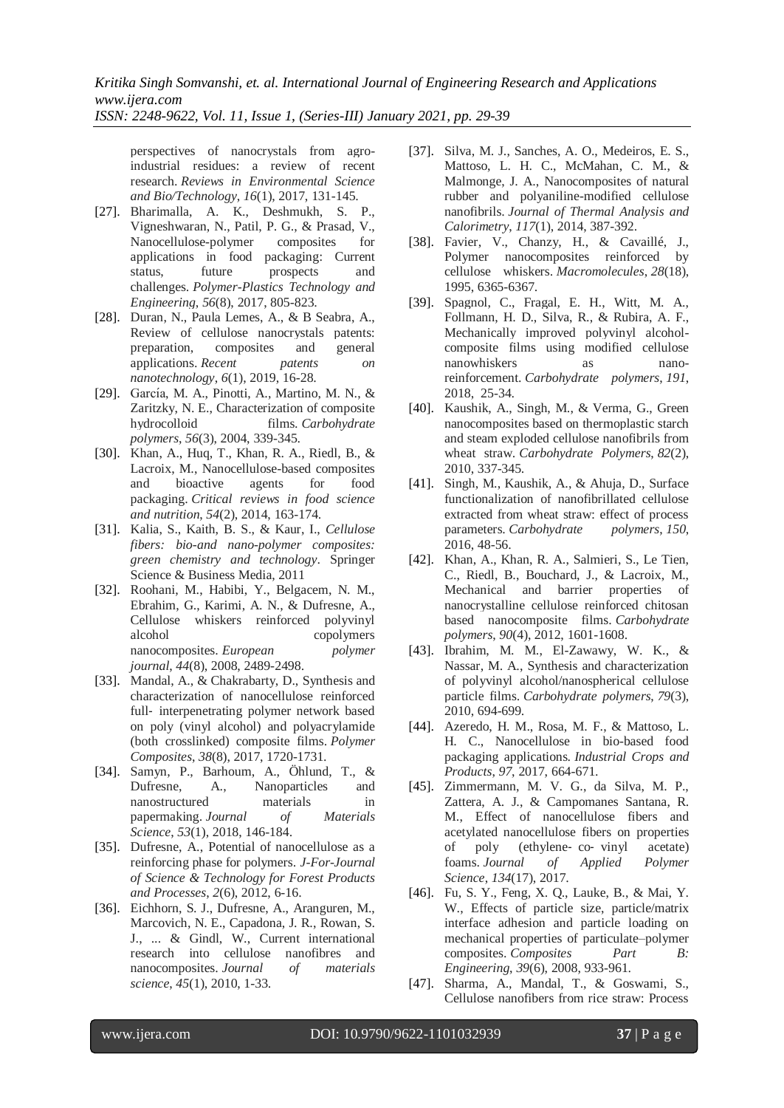*ISSN: 2248-9622, Vol. 11, Issue 1, (Series-III) January 2021, pp. 29-39*

perspectives of nanocrystals from agroindustrial residues: a review of recent research. *Reviews in Environmental Science and Bio/Technology*, *16*(1), 2017, 131-145.

- [27]. Bharimalla, A. K., Deshmukh, S. P., Vigneshwaran, N., Patil, P. G., & Prasad, V., Nanocellulose-polymer composites for applications in food packaging: Current status, future prospects and challenges. *Polymer-Plastics Technology and Engineering*, *56*(8), 2017, 805-823.
- [28]. Duran, N., Paula Lemes, A., & B Seabra, A., Review of cellulose nanocrystals patents: preparation, composites and general applications. *Recent patents on nanotechnology*, *6*(1), 2019, 16-28.
- [29]. García, M. A., Pinotti, A., Martino, M. N., & Zaritzky, N. E., Characterization of composite hydrocolloid films. *Carbohydrate polymers*, *56*(3), 2004, 339-345.
- [30]. Khan, A., Huq, T., Khan, R. A., Riedl, B., & Lacroix, M., Nanocellulose-based composites and bioactive agents for food packaging. *Critical reviews in food science and nutrition*, *54*(2), 2014, 163-174.
- [31]. Kalia, S., Kaith, B. S., & Kaur, I., *Cellulose fibers: bio-and nano-polymer composites: green chemistry and technology*. Springer Science & Business Media, 2011
- [32]. Roohani, M., Habibi, Y., Belgacem, N. M., Ebrahim, G., Karimi, A. N., & Dufresne, A., Cellulose whiskers reinforced polyvinyl alcohol copolymers nanocomposites. *European polymer journal*, *44*(8), 2008, 2489-2498.
- [33]. Mandal, A., & Chakrabarty, D., Synthesis and characterization of nanocellulose reinforced full- interpenetrating polymer network based on poly (vinyl alcohol) and polyacrylamide (both crosslinked) composite films. *Polymer Composites*, *38*(8), 2017, 1720-1731.
- [34]. Samyn, P., Barhoum, A., Öhlund, T., & Dufresne, A., Nanoparticles and nanostructured materials in papermaking. *Journal of Materials Science*, *53*(1), 2018, 146-184.
- [35]. Dufresne, A., Potential of nanocellulose as a reinforcing phase for polymers. *J-For-Journal of Science & Technology for Forest Products and Processes*, *2*(6), 2012, 6-16.
- [36]. Eichhorn, S. J., Dufresne, A., Aranguren, M., Marcovich, N. E., Capadona, J. R., Rowan, S. J., ... & Gindl, W., Current international research into cellulose nanofibres and nanocomposites. *Journal of materials science*, *45*(1), 2010, 1-33.
- [37]. Silva, M. J., Sanches, A. O., Medeiros, E. S., Mattoso, L. H. C., McMahan, C. M., & Malmonge, J. A., Nanocomposites of natural rubber and polyaniline-modified cellulose nanofibrils. *Journal of Thermal Analysis and Calorimetry*, *117*(1), 2014, 387-392.
- [38]. Favier, V., Chanzy, H., & Cavaillé, J., Polymer nanocomposites reinforced by cellulose whiskers. *Macromolecules*, *28*(18), 1995, 6365-6367.
- [39]. Spagnol, C., Fragal, E. H., Witt, M. A., Follmann, H. D., Silva, R., & Rubira, A. F., Mechanically improved polyvinyl alcoholcomposite films using modified cellulose nanowhiskers as nanoreinforcement. *Carbohydrate polymers*, *191*, 2018, 25-34.
- [40]. Kaushik, A., Singh, M., & Verma, G., Green nanocomposites based on thermoplastic starch and steam exploded cellulose nanofibrils from wheat straw. *Carbohydrate Polymers*, *82*(2), 2010, 337-345.
- [41]. Singh, M., Kaushik, A., & Ahuja, D., Surface functionalization of nanofibrillated cellulose extracted from wheat straw: effect of process parameters. *Carbohydrate polymers*, *150*, 2016, 48-56.
- [42]. Khan, A., Khan, R. A., Salmieri, S., Le Tien, C., Riedl, B., Bouchard, J., & Lacroix, M., Mechanical and barrier properties of nanocrystalline cellulose reinforced chitosan based nanocomposite films. *Carbohydrate polymers*, *90*(4), 2012, 1601-1608.
- [43]. Ibrahim, M. M., El-Zawawy, W. K., & Nassar, M. A., Synthesis and characterization of polyvinyl alcohol/nanospherical cellulose particle films. *Carbohydrate polymers*, *79*(3), 2010, 694-699.
- [44]. Azeredo, H. M., Rosa, M. F., & Mattoso, L. H. C., Nanocellulose in bio-based food packaging applications. *Industrial Crops and Products*, *97*, 2017, 664-671.
- [45]. Zimmermann, M. V. G., da Silva, M. P., Zattera, A. J., & Campomanes Santana, R. M., Effect of nanocellulose fibers and acetylated nanocellulose fibers on properties of poly (ethylene‐ co‐ vinyl acetate) foams. *Journal of Applied Polymer Science*, *134*(17), 2017.
- [46]. Fu, S. Y., Feng, X. Q., Lauke, B., & Mai, Y. W., Effects of particle size, particle/matrix interface adhesion and particle loading on mechanical properties of particulate–polymer composites. *Composites Part B: Engineering*, *39*(6), 2008, 933-961.
- [47]. Sharma, A., Mandal, T., & Goswami, S., Cellulose nanofibers from rice straw: Process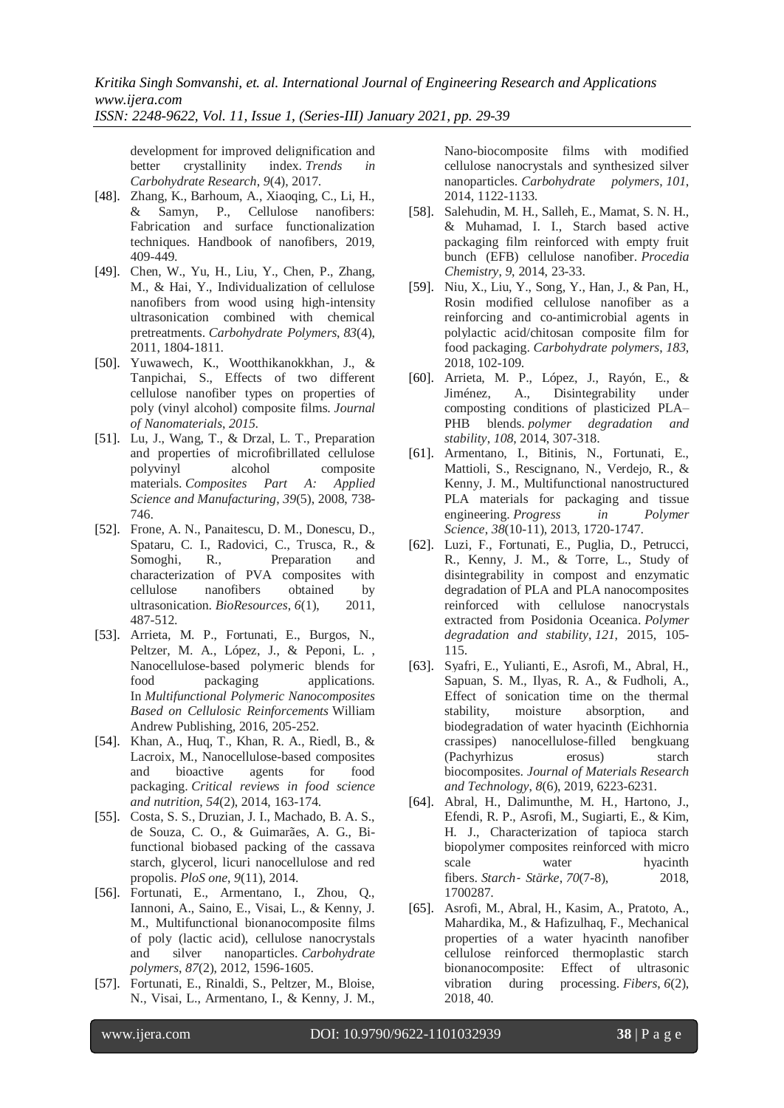*ISSN: 2248-9622, Vol. 11, Issue 1, (Series-III) January 2021, pp. 29-39*

development for improved delignification and better crystallinity index. *Trends in Carbohydrate Research*, *9*(4), 2017.

- [48]. Zhang, K., Barhoum, A., Xiaoqing, C., Li, H., & Samyn, P., Cellulose nanofibers: Fabrication and surface functionalization techniques. Handbook of nanofibers, 2019, 409-449.
- [49]. Chen, W., Yu, H., Liu, Y., Chen, P., Zhang, M., & Hai, Y., Individualization of cellulose nanofibers from wood using high-intensity ultrasonication combined with chemical pretreatments. *Carbohydrate Polymers*, *83*(4), 2011, 1804-1811.
- [50]. Yuwawech, K., Wootthikanokkhan, J., & Tanpichai, S., Effects of two different cellulose nanofiber types on properties of poly (vinyl alcohol) composite films. *Journal of Nanomaterials*, *2015*.
- [51]. Lu, J., Wang, T., & Drzal, L. T., Preparation and properties of microfibrillated cellulose polyvinyl alcohol composite materials. *Composites Part A: Applied Science and Manufacturing*, *39*(5), 2008, 738- 746.
- [52]. Frone, A. N., Panaitescu, D. M., Donescu, D., Spataru, C. I., Radovici, C., Trusca, R., & Somoghi, R., Preparation and characterization of PVA composites with cellulose nanofibers obtained by ultrasonication. *BioResources*, *6*(1), 2011, 487-512.
- [53]. Arrieta, M. P., Fortunati, E., Burgos, N., Peltzer, M. A., López, J., & Peponi, L. , Nanocellulose-based polymeric blends for food packaging applications. In *Multifunctional Polymeric Nanocomposites Based on Cellulosic Reinforcements* William Andrew Publishing, 2016, 205-252.
- [54]. Khan, A., Huq, T., Khan, R. A., Riedl, B., & Lacroix, M., Nanocellulose-based composites and bioactive agents for food packaging. *Critical reviews in food science and nutrition*, *54*(2), 2014, 163-174.
- [55]. Costa, S. S., Druzian, J. I., Machado, B. A. S., de Souza, C. O., & Guimarães, A. G., Bifunctional biobased packing of the cassava starch, glycerol, licuri nanocellulose and red propolis. *PloS one*, *9*(11), 2014.
- [56]. Fortunati, E., Armentano, I., Zhou, Q., Iannoni, A., Saino, E., Visai, L., & Kenny, J. M., Multifunctional bionanocomposite films of poly (lactic acid), cellulose nanocrystals and silver nanoparticles. *Carbohydrate polymers*, *87*(2), 2012, 1596-1605.
- [57]. Fortunati, E., Rinaldi, S., Peltzer, M., Bloise, N., Visai, L., Armentano, I., & Kenny, J. M.,

Nano-biocomposite films with modified cellulose nanocrystals and synthesized silver nanoparticles. *Carbohydrate polymers*, *101*, 2014, 1122-1133.

- [58]. Salehudin, M. H., Salleh, E., Mamat, S. N. H., & Muhamad, I. I., Starch based active packaging film reinforced with empty fruit bunch (EFB) cellulose nanofiber. *Procedia Chemistry*, *9*, 2014, 23-33.
- [59]. Niu, X., Liu, Y., Song, Y., Han, J., & Pan, H., Rosin modified cellulose nanofiber as a reinforcing and co-antimicrobial agents in polylactic acid/chitosan composite film for food packaging. *Carbohydrate polymers*, *183*, 2018, 102-109.
- [60]. Arrieta, M. P., López, J., Rayón, E., & Jiménez, A., Disintegrability under composting conditions of plasticized PLA– PHB blends. *polymer degradation and stability*, *108*, 2014, 307-318.
- [61]. Armentano, I., Bitinis, N., Fortunati, E., Mattioli, S., Rescignano, N., Verdejo, R., & Kenny, J. M., Multifunctional nanostructured PLA materials for packaging and tissue engineering. *Progress in Polymer Science*, *38*(10-11), 2013, 1720-1747.
- [62]. Luzi, F., Fortunati, E., Puglia, D., Petrucci, R., Kenny, J. M., & Torre, L., Study of disintegrability in compost and enzymatic degradation of PLA and PLA nanocomposites reinforced with cellulose nanocrystals extracted from Posidonia Oceanica. *Polymer degradation and stability*, *121*, 2015, 105- 115.
- [63]. Syafri, E., Yulianti, E., Asrofi, M., Abral, H., Sapuan, S. M., Ilyas, R. A., & Fudholi, A., Effect of sonication time on the thermal stability, moisture absorption, and biodegradation of water hyacinth (Eichhornia crassipes) nanocellulose-filled bengkuang (Pachyrhizus erosus) starch biocomposites. *Journal of Materials Research and Technology*, *8*(6), 2019, 6223-6231.
- [64]. Abral, H., Dalimunthe, M. H., Hartono, J., Efendi, R. P., Asrofi, M., Sugiarti, E., & Kim, H. J., Characterization of tapioca starch biopolymer composites reinforced with micro scale water hyacinth fibers. *Starch*‐ *Stärke*, *70*(7-8), 2018, 1700287.
- [65]. Asrofi, M., Abral, H., Kasim, A., Pratoto, A., Mahardika, M., & Hafizulhaq, F., Mechanical properties of a water hyacinth nanofiber cellulose reinforced thermoplastic starch bionanocomposite: Effect of ultrasonic vibration during processing. *Fibers*, *6*(2), 2018, 40.